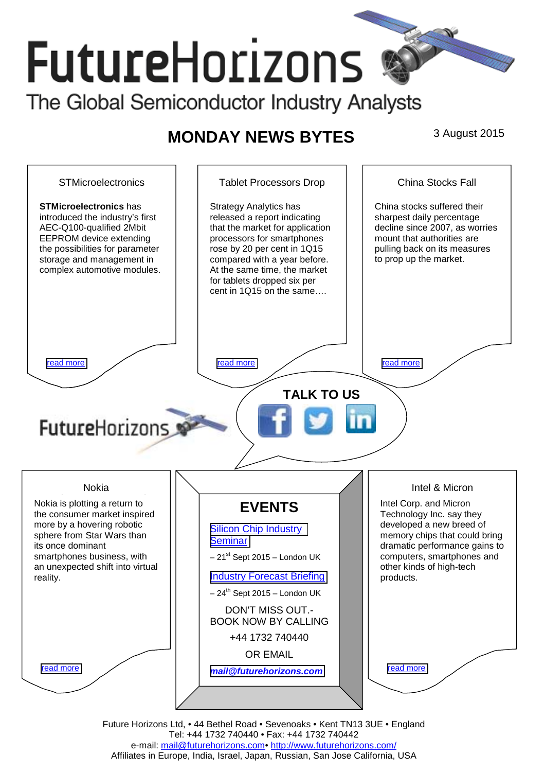# **Future**Horizons The Global Semiconductor Industry Analysts

## **MONDAY NEWS BYTES** 3 August 2015



Future Horizons Ltd, • 44 Bethel Road • Sevenoaks • Kent TN13 3UE • England Tel: +44 1732 740440 • Fax: +44 1732 740442 e-mail: mail@futurehorizons.com• http://www.futurehorizons.com/ Affiliates in Europe, India, Israel, Japan, Russian, San Jose California, USA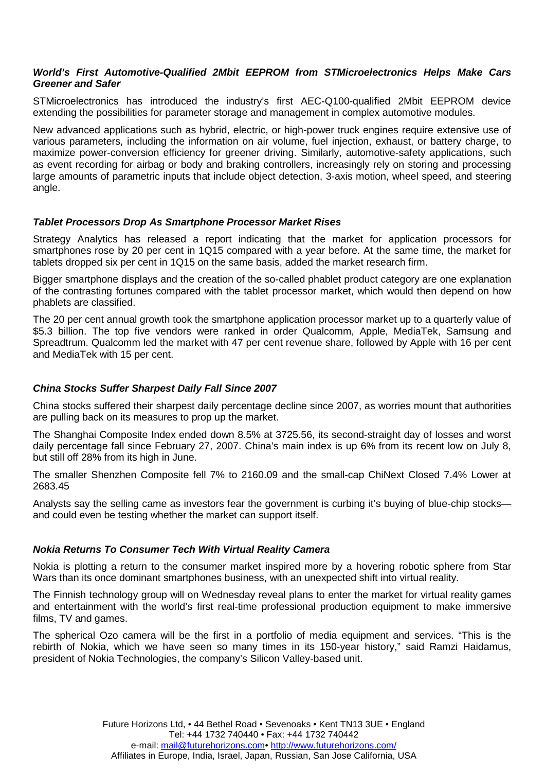#### <span id="page-1-0"></span>*World's First Automotive-Qualified 2Mbit EEPROM from STMicroelectronics Helps Make Cars Greener and Safer*

STMicroelectronics has introduced the industry's first AEC-Q100-qualified 2Mbit EEPROM device extending the possibilities for parameter storage and management in complex automotive modules.

New advanced applications such as hybrid, electric, or high-power truck engines require extensive use of various parameters, including the information on air volume, fuel injection, exhaust, or battery charge, to maximize power-conversion efficiency for greener driving. Similarly, automotive-safety applications, such as event recording for airbag or body and braking controllers, increasingly rely on storing and processing large amounts of parametric inputs that include object detection, 3-axis motion, wheel speed, and steering angle.

#### *Tablet Processors Drop As Smartphone Processor Market Rises*

Strategy Analytics has released a report indicating that the market for application processors for smartphones rose by 20 per cent in 1Q15 compared with a year before. At the same time, the market for tablets dropped six per cent in 1Q15 on the same basis, added the market research firm.

Bigger smartphone displays and the creation of the so-called phablet product category are one explanation of the contrasting fortunes compared with the tablet processor market, which would then depend on how phablets are classified.

The 20 per cent annual growth took the smartphone application processor market up to a quarterly value of \$5.3 billion. The top five vendors were ranked in order Qualcomm, Apple, MediaTek, Samsung and Spreadtrum. Qualcomm led the market with 47 per cent revenue share, followed by Apple with 16 per cent and MediaTek with 15 per cent.

### *China Stocks Suffer Sharpest Daily Fall Since 2007*

China stocks suffered their sharpest daily percentage decline since 2007, as worries mount that authorities are pulling back on its measures to prop up the market.

The Shanghai Composite Index ended down 8.5% at 3725.56, its second-straight day of losses and worst daily percentage fall since February 27, 2007. China's main index is up 6% from its recent low on July 8, but still off 28% from its high in June.

The smaller Shenzhen Composite fell 7% to 2160.09 and the small-cap ChiNext Closed 7.4% Lower at 2683.45

Analysts say the selling came as investors fear the government is curbing it's buying of blue-chip stocks and could even be testing whether the market can support itself.

#### *Nokia Returns To Consumer Tech With Virtual Reality Camera*

Nokia is plotting a return to the consumer market inspired more by a hovering robotic sphere from Star Wars than its once dominant smartphones business, with an unexpected shift into virtual reality.

The Finnish technology group will on Wednesday reveal plans to enter the market for virtual reality games and entertainment with the world's first real-time professional production equipment to make immersive films, TV and games.

The spherical Ozo camera will be the first in a portfolio of media equipment and services. "This is the rebirth of Nokia, which we have seen so many times in its 150-year history," said Ramzi Haidamus, president of Nokia Technologies, the company's Silicon Valley-based unit.